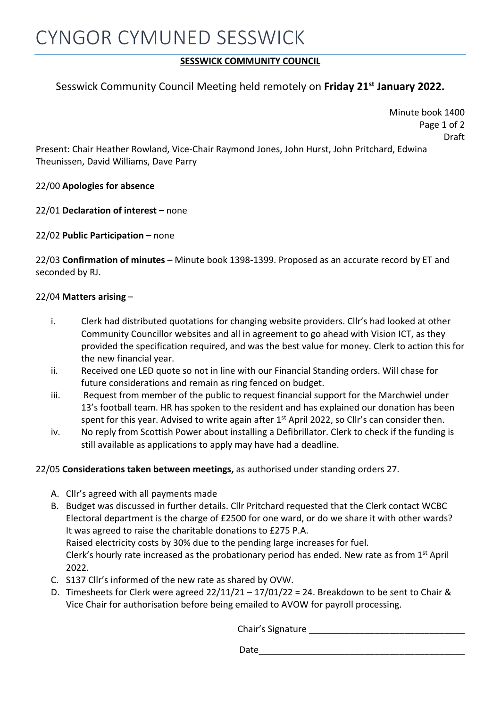## **SESSWICK COMMUNITY COUNCIL**

## Sesswick Community Council Meeting held remotely on **Friday 21st January 2022.**

Minute book 1400 Page 1 of 2 Draft

Present: Chair Heather Rowland, Vice-Chair Raymond Jones, John Hurst, John Pritchard, Edwina Theunissen, David Williams, Dave Parry

22/00 **Apologies for absence**

22/01 **Declaration of interest –** none

22/02 **Public Participation –** none

22/03 **Confirmation of minutes –** Minute book 1398-1399. Proposed as an accurate record by ET and seconded by RJ.

## 22/04 **Matters arising** –

- i. Clerk had distributed quotations for changing website providers. Cllr's had looked at other Community Councillor websites and all in agreement to go ahead with Vision ICT, as they provided the specification required, and was the best value for money. Clerk to action this for the new financial year.
- ii. Received one LED quote so not in line with our Financial Standing orders. Will chase for future considerations and remain as ring fenced on budget.
- iii. Request from member of the public to request financial support for the Marchwiel under 13's football team. HR has spoken to the resident and has explained our donation has been spent for this year. Advised to write again after 1<sup>st</sup> April 2022, so Cllr's can consider then.
- iv. No reply from Scottish Power about installing a Defibrillator. Clerk to check if the funding is still available as applications to apply may have had a deadline.

## 22/05 **Considerations taken between meetings,** as authorised under standing orders 27.

- A. Cllr's agreed with all payments made
- B. Budget was discussed in further details. Cllr Pritchard requested that the Clerk contact WCBC Electoral department is the charge of £2500 for one ward, or do we share it with other wards? It was agreed to raise the charitable donations to £275 P.A. Raised electricity costs by 30% due to the pending large increases for fuel. Clerk's hourly rate increased as the probationary period has ended. New rate as from 1<sup>st</sup> April 2022.
- C. S137 Cllr's informed of the new rate as shared by OVW.
- D. Timesheets for Clerk were agreed  $22/11/21 17/01/22 = 24$ . Breakdown to be sent to Chair & Vice Chair for authorisation before being emailed to AVOW for payroll processing.

Chair's Signature

Date\_\_\_\_\_\_\_\_\_\_\_\_\_\_\_\_\_\_\_\_\_\_\_\_\_\_\_\_\_\_\_\_\_\_\_\_\_\_\_\_\_